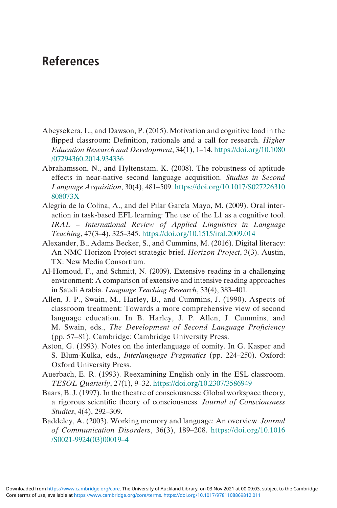- Abeysekera, L., and Dawson, P. (2015). Motivation and cognitive load in the flipped classroom: Definition, rationale and a call for research. Higher Education Research and Development, 34(1), 1–14. [https://doi.org/10.1080](https://doi.org/10.1080/07294360.2014.934336) [/07294360.2014.934336](https://doi.org/10.1080/07294360.2014.934336)
- Abrahamsson, N., and Hyltenstam, K. (2008). The robustness of aptitude effects in near-native second language acquisition. Studies in Second Language Acquisition, 30(4), 481–509. [https://doi.org/10.1017/S027226310](https://doi.org/10.1017/S027226310808073X) [808073X](https://doi.org/10.1017/S027226310808073X)
- Alegria de la Colina, A., and del Pilar García Mayo, M. (2009). Oral interaction in task-based EFL learning: The use of the L1 as a cognitive tool. IRAL – International Review of Applied Linguistics in Language Teaching, 47(3–4), 325–345. <https://doi.org/10.1515/iral.2009.014>
- Alexander, B., Adams Becker, S., and Cummins, M. (2016). Digital literacy: An NMC Horizon Project strategic brief. Horizon Project, 3(3). Austin, TX: New Media Consortium.
- Al-Homoud, F., and Schmitt, N. (2009). Extensive reading in a challenging environment: A comparison of extensive and intensive reading approaches in Saudi Arabia. Language Teaching Research, 33(4), 383–401.
- Allen, J. P., Swain, M., Harley, B., and Cummins, J. (1990). Aspects of classroom treatment: Towards a more comprehensive view of second language education. In B. Harley, J. P. Allen, J. Cummins, and M. Swain, eds., The Development of Second Language Proficiency (pp. 57–81). Cambridge: Cambridge University Press.
- Aston, G. (1993). Notes on the interlanguage of comity. In G. Kasper and S. Blum-Kulka, eds., Interlanguage Pragmatics (pp. 224–250). Oxford: Oxford University Press.
- Auerbach, E. R. (1993). Reexamining English only in the ESL classroom. TESOL Quarterly, 27(1), 9–32. <https://doi.org/10.2307/3586949>
- Baars, B. J. (1997). In the theatre of consciousness: Global workspace theory, a rigorous scientific theory of consciousness. Journal of Consciousness Studies, 4(4), 292–309.
- Baddeley, A. (2003). Working memory and language: An overview. Journal of Communication Disorders, 36(3), 189–208. [https://doi.org/10.1016](https://doi.org/10.1016/S0021-9924(03)000194) [/S0021-9924\(03\)00019](https://doi.org/10.1016/S0021-9924(03)000194)–4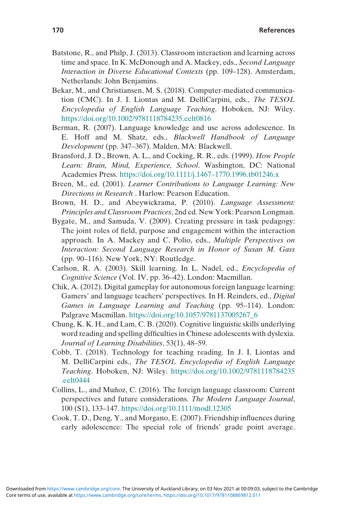- Batstone, R., and Philp, J. (2013). Classroom interaction and learning across time and space. In K. McDonough and A. Mackey, eds., Second Language Interaction in Diverse Educational Contexts (pp. 109–128). Amsterdam, Netherlands: John Benjamins.
- Bekar, M., and Christiansen, M. S. (2018). Computer‐mediated communication (CMC). In J. I. Liontas and M. DelliCarpini, eds., The TESOL Encyclopedia of English Language Teaching. Hoboken, NJ: Wiley. <https://doi.org/10.1002/9781118784235.eelt0816>
- Berman, R. (2007). Language knowledge and use across adolescence. In E. Hoff and M. Shatz, eds., Blackwell Handbook of Language Development (pp. 347–367). Malden, MA: Blackwell.
- Bransford, J. D., Brown, A. L., and Cocking, R. R., eds. (1999). How People Learn: Brain, Mind, Experience, School. Washington, DC: National Academies Press. [https://doi.org/10.1111/j.1467](https://doi.org/10.1111/j.14671770.1996.tb01246.x)–1770.1996.tb01246.x
- Breen, M., ed. (2001). Learner Contributions to Language Learning: New Directions in Research . Harlow: Pearson Education.
- Brown, H. D., and Abeywickrama, P. (2010). Language Assessment: Principles and Classroom Practices, 2nd ed. New York: Pearson Longman.
- Bygate, M., and Samuda, V. (2009). Creating pressure in task pedagogy: The joint roles of field, purpose and engagement within the interaction approach. In A. Mackey and C. Polio, eds., Multiple Perspectives on Interaction: Second Language Research in Honor of Susan M. Gass (pp. 90–116). New York, NY: Routledge.
- Carlson, R. A. (2003). Skill learning. In L. Nadel, ed., Encyclopedia of Cognitive Science (Vol. IV, pp. 36–42). London: Macmillan.
- Chik, A. (2012). Digital gameplay for autonomous foreign language learning: Gamers' and language teachers' perspectives. In H. Reinders, ed., Digital Games in Language Learning and Teaching (pp. 95–114). London: Palgrave Macmillan. [https://doi.org/10.1057/9781137005267\\_6](https://doi.org/10.1057/9781137005267%5F6)
- Chung, K. K. H., and Lam, C. B. (2020). Cognitive linguistic skills underlying word reading and spelling difficulties in Chinese adolescents with dyslexia. Journal of Learning Disabilities, 53(1), 48–59.
- Cobb, T. (2018). Technology for teaching reading. In J. I. Liontas and M. DelliCarpini eds., The TESOL Encyclopedia of English Language Teaching. Hoboken, NJ: Wiley. [https://doi.org/10.1002/9781118784235](https://doi.org/10.1002/9781118784235.eelt0444) [.eelt0444](https://doi.org/10.1002/9781118784235.eelt0444)
- Collins, L., and Muñoz, C. (2016). The foreign language classroom: Current perspectives and future considerations. The Modern Language Journal, 100 (S1), 133–147. <https://doi.org/10.1111/modl.12305>
- Cook, T. D., Deng, Y., and Morgano, E. (2007). Friendship influences during early adolescence: The special role of friends' grade point average.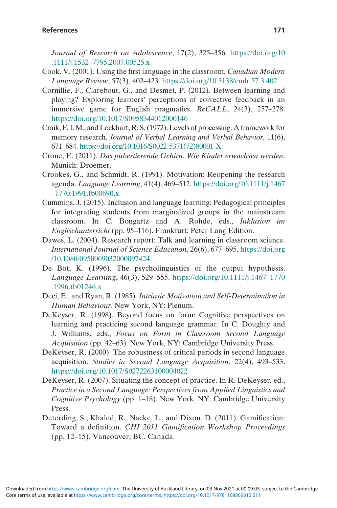Journal of Research on Adolescence, 17(2), 325–356. [https://doi.org/10](https://doi.org/10.1111/j.15327795.2007.00525.x) .1111/j.1532–[7795.2007.00525.x](https://doi.org/10.1111/j.15327795.2007.00525.x)

- Cook, V. (2001). Using the first language in the classroom. Canadian Modern Language Review, 57(3), 402–423. <https://doi.org/10.3138/cmlr.57.3.402>
- Cornillie, F., Clarebout, G., and Desmet, P. (2012). Between learning and playing? Exploring learners' perceptions of corrective feedback in an immersive game for English pragmatics. ReCALL, 24(3), 257–278. <https://doi.org/10.1017/S0958344012000146>
- Craik, F. I.M., and Lockhart, R. S. (1972). Levels of processing: A framework for memory research. Journal of Verbal Learning and Verbal Behavior, 11(6), 671–684. [https://doi.org/10.1016/S0022-5371\(72\)80001-X](https://doi.org/10.1016/S0022-5371(72)80001-X)
- Crone, E. (2011). Das pubertierende Gehirn. Wie Kinder erwachsen werden. Munich: Droemer.
- Crookes, G., and Schmidt, R. (1991). Motivation: Reopening the research agenda. Language Learning, 41(4), 469–512. [https://doi.org/10.1111/j.1467](https://doi.org/10.1111/j.14671770.1991.tb00690.x) –[1770.1991.tb00690.x](https://doi.org/10.1111/j.14671770.1991.tb00690.x)
- Cummins, J. (2015). Inclusion and language learning: Pedagogical principles for integrating students from marginalized groups in the mainstream classroom. In C. Bongartz and A. Rohde, eds., Inklusion im Englischunterricht (pp. 95–116). Frankfurt: Peter Lang Edition.
- Dawes, L. (2004). Research report: Talk and learning in classroom science. International Journal of Science Education, 26(6), 677–695. [https://doi.org](https://doi.org/10.1080/0950069032000097424) [/10.1080/0950069032000097424](https://doi.org/10.1080/0950069032000097424)
- De Bot, K. (1996). The psycholinguistics of the output hypothesis. Language Learning, 46(3), 529–555. [https://doi.org/10.1111/j.1467](https://doi.org/10.1111/j.14671770.1996.tb01246.x)–1770 [.1996.tb01246.x](https://doi.org/10.1111/j.14671770.1996.tb01246.x)
- Deci, E., and Ryan, R. (1985). Intrinsic Motivation and Self-Determination in Human Behaviour. New York, NY: Plenum.
- DeKeyser, R. (1998). Beyond focus on form: Cognitive perspectives on learning and practicing second language grammar. In C. Doughty and J. Williams, eds., Focus on Form in Classroom Second Language Acquisition (pp. 42–63). New York, NY: Cambridge University Press.
- DeKeyser, R. (2000). The robustness of critical periods in second language acquisition. Studies in Second Language Acquisition, 22(4), 493–533. <https://doi.org/10.1017/S0272263100004022>
- DeKeyser, R. (2007). Situating the concept of practice. In R. DeKeyser, ed., Practice in a Second Language: Perspectives from Applied Linguistics and Cognitive Psychology (pp. 1–18). New York, NY: Cambridge University Press.
- Deterding, S., Khaled, R., Nacke, L., and Dixon, D. (2011). Gamification: Toward a definition. CHI 2011 Gamification Workshop Proceedings (pp. 12–15). Vancouver, BC, Canada.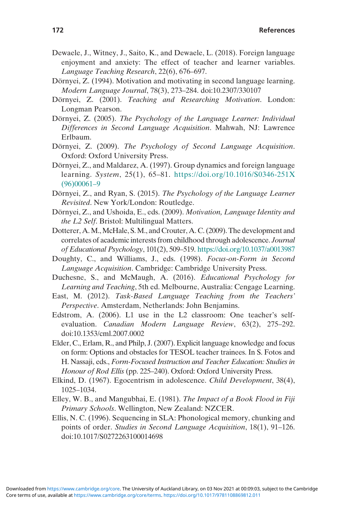- Dewaele, J., Witney, J., Saito, K., and Dewaele, L. (2018). Foreign language enjoyment and anxiety: The effect of teacher and learner variables. Language Teaching Research, 22(6), 676–697.
- Dörnyei, Z. (1994). Motivation and motivating in second language learning. Modern Language Journal, 78(3), 273–284. doi:10.2307/330107
- Dörnyei, Z. (2001). Teaching and Researching Motivation. London: Longman Pearson.
- Dörnyei, Z. (2005). The Psychology of the Language Learner: Individual Differences in Second Language Acquisition. Mahwah, NJ: Lawrence Erlbaum.
- Dörnyei, Z. (2009). The Psychology of Second Language Acquisition. Oxford: Oxford University Press.
- Dörnyei, Z., and Maldarez, A. (1997). Group dynamics and foreign language learning. System, 25(1), 65–81. [https://doi.org/10.1016/S0346-251X](https://doi.org/10.1016/S0346-251X(96)000619) [\(96\)00061](https://doi.org/10.1016/S0346-251X(96)000619)–9
- Dörnyei, Z., and Ryan, S. (2015). The Psychology of the Language Learner Revisited. New York/London: Routledge.
- Dörnyei, Z., and Ushoida, E., eds. (2009). Motivation, Language Identity and the L2 Self. Bristol: Multilingual Matters.
- Dotterer, A.M.,McHale, S.M., and Crouter, A. C. (2009). The development and correlates of academic interests from childhood through adolescence. Journal of Educational Psychology, 101(2), 509–519. <https://doi.org/10.1037/a0013987>
- Doughty, C., and Williams, J., eds. (1998). Focus-on-Form in Second Language Acquisition. Cambridge: Cambridge University Press.
- Duchesne, S., and McMaugh, A. (2016). Educational Psychology for Learning and Teaching, 5th ed. Melbourne, Australia: Cengage Learning.
- East, M. (2012). Task-Based Language Teaching from the Teachers' Perspective. Amsterdam, Netherlands: John Benjamins.
- Edstrom, A. (2006). L1 use in the L2 classroom: One teacher's selfevaluation. Canadian Modern Language Review, 63(2), 275–292. doi:10.1353/cml.2007.0002
- Elder, C., Erlam, R., and Philp, J. (2007). Explicit language knowledge and focus on form: Options and obstacles for TESOL teacher trainees. In S. Fotos and H. Nassaji, eds., Form-Focused Instruction and Teacher Education: Studies in Honour of Rod Ellis (pp. 225–240). Oxford: Oxford University Press.
- Elkind, D. (1967). Egocentrism in adolescence. Child Development, 38(4), 1025–1034.
- Elley, W. B., and Mangubhai, E. (1981). The Impact of a Book Flood in Fiji Primary Schools. Wellington, New Zealand: NZCER.
- Ellis, N. C. (1996). Sequencing in SLA: Phonological memory, chunking and points of order. Studies in Second Language Acquisition, 18(1), 91–126. doi:10.1017/S0272263100014698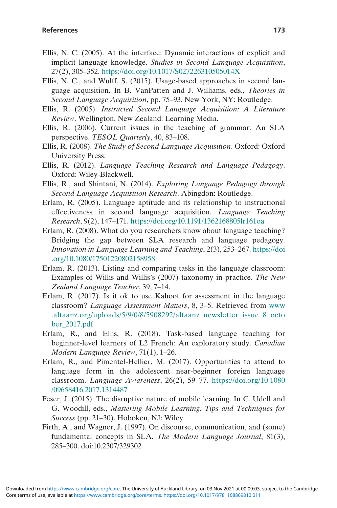- Ellis, N. C. (2005). At the interface: Dynamic interactions of explicit and implicit language knowledge. Studies in Second Language Acquisition, 27(2), 305–352. <https://doi.org/10.1017/S027226310505014X>
- Ellis, N. C., and Wulff, S. (2015). Usage-based approaches in second language acquisition. In B. VanPatten and J. Williams, eds., Theories in Second Language Acquisition, pp. 75–93. New York, NY: Routledge.
- Ellis, R. (2005). Instructed Second Language Acquisition: A Literature Review. Wellington, New Zealand: Learning Media.
- Ellis, R. (2006). Current issues in the teaching of grammar: An SLA perspective. TESOL Quarterly, 40, 83–108.
- Ellis, R. (2008). The Study of Second Language Acquisition. Oxford: Oxford University Press.
- Ellis, R. (2012). Language Teaching Research and Language Pedagogy. Oxford: Wiley-Blackwell.
- Ellis, R., and Shintani, N. (2014). Exploring Language Pedagogy through Second Language Acquisition Research. Abingdon: Routledge.
- Erlam, R. (2005). Language aptitude and its relationship to instructional effectiveness in second language acquisition. Language Teaching Research, 9(2), 147–171. <https://doi.org/10.1191/1362168805lr161oa>
- Erlam, R. (2008). What do you researchers know about language teaching? Bridging the gap between SLA research and language pedagogy. Innovation in Language Learning and Teaching, 2(3), 253–267. [https://doi](https://doi.org/10.1080/17501220802158958) [.org/10.1080/17501220802158958](https://doi.org/10.1080/17501220802158958)
- Erlam, R. (2013). Listing and comparing tasks in the language classroom: Examples of Willis and Willis's (2007) taxonomy in practice. The New Zealand Language Teacher, 39, 7–14.
- Erlam, R. (2017). Is it ok to use Kahoot for assessment in the language classroom? Language Assessment Matters, 8, 3–5. Retrieved from [www](http://www.altaanz.org/uploads/5/9/0/8/5908292/altaanz%5Fnewsletter%5Fissue%5F8%5Foctober%5F2017.pdf) [.altaanz.org/uploads/5/9/0/8/5908292/altaanz\\_newsletter\\_issue\\_8\\_octo](http://www.altaanz.org/uploads/5/9/0/8/5908292/altaanz%5Fnewsletter%5Fissue%5F8%5Foctober%5F2017.pdf) [ber\\_2017.pdf](http://www.altaanz.org/uploads/5/9/0/8/5908292/altaanz%5Fnewsletter%5Fissue%5F8%5Foctober%5F2017.pdf)
- Erlam, R., and Ellis, R. (2018). Task-based language teaching for beginner-level learners of L2 French: An exploratory study. Canadian Modern Language Review, 71(1), 1–26.
- Erlam, R., and Pimentel-Hellier, M. (2017). Opportunities to attend to language form in the adolescent near-beginner foreign language classroom. Language Awareness, 26(2), 59–77. [https://doi.org/10.1080](https://doi.org/10.1080/09658416.2017.1314487) [/09658416.2017.1314487](https://doi.org/10.1080/09658416.2017.1314487)
- Feser, J. (2015). The disruptive nature of mobile learning. In C. Udell and G. Woodill, eds., Mastering Mobile Learning: Tips and Techniques for Success (pp. 21–30). Hoboken, NJ: Wiley.
- Firth, A., and Wagner, J. (1997). On discourse, communication, and (some) fundamental concepts in SLA. The Modern Language Journal, 81(3), 285–300. doi:10.2307/329302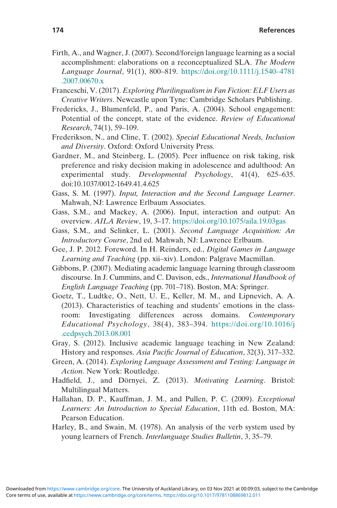- Firth, A., and Wagner, J. (2007). Second/foreign language learning as a social accomplishment: elaborations on a reconceptualized SLA. The Modern Language Journal, 91(1), 800–819. [https://doi.org/10.1111/j.1540](https://doi.org/10.1111/j.15404781.2007.00670.x)–4781 [.2007.00670.x](https://doi.org/10.1111/j.15404781.2007.00670.x)
- Franceschi, V. (2017). Exploring Plurilingualism in Fan Fiction: ELF Users as Creative Writers. Newcastle upon Tyne: Cambridge Scholars Publishing.
- Fredericks, J., Blumenfeld, P., and Paris, A. (2004). School engagement: Potential of the concept, state of the evidence. Review of Educational Research, 74(1), 59–109.
- Frederikson, N., and Cline, T. (2002). Special Educational Needs, Inclusion and Diversity. Oxford: Oxford University Press.
- Gardner, M., and Steinberg, L. (2005). Peer influence on risk taking, risk preference and risky decision making in adolescence and adulthood: An experimental study. Developmental Psychology, 41(4), 625–635. doi:10.1037/0012-1649.41.4.625
- Gass, S. M. (1997). Input, Interaction and the Second Language Learner. Mahwah, NJ: Lawrence Erlbaum Associates.
- Gass, S.M., and Mackey, A. (2006). Input, interaction and output: An overview. AILA Review, 19, 3–17. <https://doi.org/10.1075/aila.19.03gas>
- Gass, S.M., and Selinker, L. (2001). Second Language Acquisition: An Introductory Course, 2nd ed. Mahwah, NJ: Lawrence Erlbaum.
- Gee, J. P. 2012. Foreword. In H. Reinders, ed., Digital Games in Language Learning and Teaching (pp. xii–xiv). London: Palgrave Macmillan.
- Gibbons, P. (2007). Mediating academic language learning through classroom discourse. In J. Cummins, and C. Davison, eds., International Handbook of English Language Teaching (pp. 701–718). Boston, MA: Springer.
- Goetz, T., Ludtke, O., Nett, U. E., Keller, M. M., and Lipnevich, A. A. (2013). Characteristics of teaching and students' emotions in the classroom: Investigating differences across domains. Contemporary Educational Psychology, 38(4), 383–394. [https://doi.org/10.1016/j](https://doi.org/10.1016/j.cedpsych.2013.08.001) [.cedpsych.2013.08.001](https://doi.org/10.1016/j.cedpsych.2013.08.001)
- Gray, S. (2012). Inclusive academic language teaching in New Zealand: History and responses. Asia Pacific Journal of Education, 32(3), 317–332.
- Green, A. (2014). Exploring Language Assessment and Testing: Language in Action. New York: Routledge.
- Hadfield, J., and Dörnyei, Z. (2013). Motivating Learning. Bristol: Multilingual Matters.
- Hallahan, D. P., Kauffman, J. M., and Pullen, P. C. (2009). Exceptional Learners: An Introduction to Special Education, 11th ed. Boston, MA: Pearson Education.
- Harley, B., and Swain, M. (1978). An analysis of the verb system used by young learners of French. Interlanguage Studies Bulletin, 3, 35–79.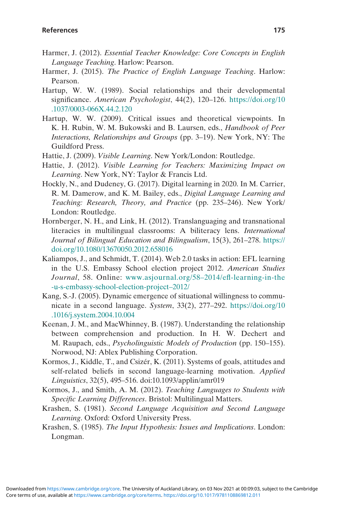- Harmer, J. (2012). Essential Teacher Knowledge: Core Concepts in English Language Teaching. Harlow: Pearson.
- Harmer, J. (2015). The Practice of English Language Teaching. Harlow: Pearson.
- Hartup, W. W. (1989). Social relationships and their developmental significance. American Psychologist, 44(2), 120-126. [https://doi.org/10](https://doi.org/10.1037/0003-066X.44.2.120) [.1037/0003-066X.44.2.120](https://doi.org/10.1037/0003-066X.44.2.120)
- Hartup, W. W. (2009). Critical issues and theoretical viewpoints. In K. H. Rubin, W. M. Bukowski and B. Laursen, eds., Handbook of Peer Interactions, Relationships and Groups (pp. 3–19). New York, NY: The Guildford Press.
- Hattie, J. (2009). Visible Learning. New York/London: Routledge.
- Hattie, J. (2012). Visible Learning for Teachers: Maximizing Impact on Learning. New York, NY: Taylor & Francis Ltd.
- Hockly, N., and Dudeney, G. (2017). Digital learning in 2020. In M. Carrier, R. M. Damerow, and K. M. Bailey, eds., Digital Language Learning and Teaching: Research, Theory, and Practice (pp. 235–246). New York/ London: Routledge.
- Hornberger, N. H., and Link, H. (2012). Translanguaging and transnational literacies in multilingual classrooms: A biliteracy lens. International Journal of Bilingual Education and Bilingualism, 15(3), 261–278. [https://](https://doi.org/10.1080/13670050.2012.658016) [doi.org/10.1080/13670050.2012.658016](https://doi.org/10.1080/13670050.2012.658016)
- Kaliampos, J., and Schmidt, T. (2014). Web 2.0 tasks in action: EFL learning in the U.S. Embassy School election project 2012. American Studies Journal, 58. Online: [www.asjournal.org/58](http://www.asjournal.org/582014/efl-learning-in-the-u-s-embassy-school-election-project2012/)–2014/efl-learning-in-the [-u-s-embassy-school-election-project](http://www.asjournal.org/582014/efl-learning-in-the-u-s-embassy-school-election-project2012/)–2012/
- Kang, S.-J. (2005). Dynamic emergence of situational willingness to communicate in a second language. System, 33(2), 277–292. [https://doi.org/10](https://doi.org/10.1016/j.system.2004.10.004) [.1016/j.system.2004.10.004](https://doi.org/10.1016/j.system.2004.10.004)
- Keenan, J. M., and MacWhinney, B. (1987). Understanding the relationship between comprehension and production. In H. W. Dechert and M. Raupach, eds., Psycholinguistic Models of Production (pp. 150–155). Norwood, NJ: Ablex Publishing Corporation.
- Kormos, J., Kiddle, T., and Csizér, K. (2011). Systems of goals, attitudes and self-related beliefs in second language-learning motivation. Applied Linguistics, 32(5), 495–516. doi:10.1093/applin/amr019
- Kormos, J., and Smith, A. M. (2012). Teaching Languages to Students with Specific Learning Differences. Bristol: Multilingual Matters.
- Krashen, S. (1981). Second Language Acquisition and Second Language Learning. Oxford: Oxford University Press.
- Krashen, S. (1985). The Input Hypothesis: Issues and Implications. London: Longman.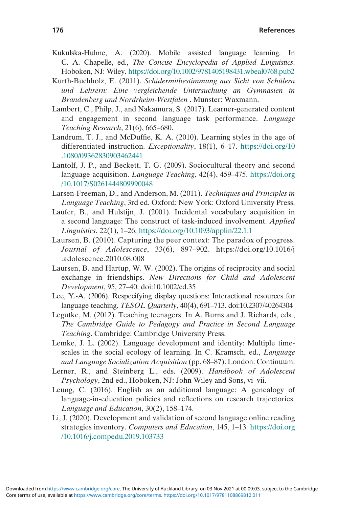- Kukulska-Hulme, A. (2020). Mobile assisted language learning. In C. A. Chapelle, ed., The Concise Encyclopedia of Applied Linguistics. Hoboken, NJ: Wiley. <https://doi.org/10.1002/9781405198431.wbeal0768.pub2>
- Kurth-Buchholz, E. (2011). Schülermitbestimmung aus Sicht von Schülern und Lehrern: Eine vergleichende Untersuchung an Gymnasien in Brandenberg und Nordrheim-Westfalen . Munster: Waxmann.
- Lambert, C., Philp, J., and Nakamura, S. (2017). Learner-generated content and engagement in second language task performance. Language Teaching Research, 21(6), 665–680.
- Landrum, T. J., and McDuffie, K. A. (2010). Learning styles in the age of differentiated instruction. Exceptionality, 18(1), 6–17. [https://doi.org/10](https://doi.org/10.1080/09362830903462441) [.1080/09362830903462441](https://doi.org/10.1080/09362830903462441)
- Lantolf, J. P., and Beckett, T. G. (2009). Sociocultural theory and second language acquisition. Language Teaching, 42(4), 459–475. [https://doi.org](https://doi.org/10.1017/S0261444809990048) [/10.1017/S0261444809990048](https://doi.org/10.1017/S0261444809990048)
- Larsen-Freeman, D., and Anderson, M. (2011). Techniques and Principles in Language Teaching, 3rd ed. Oxford; New York: Oxford University Press.
- Laufer, B., and Hulstijn, J. (2001). Incidental vocabulary acquisition in a second language: The construct of task-induced involvement. Applied Linguistics, 22(1), 1–26. <https://doi.org/10.1093/applin/22.1.1>
- Laursen, B. (2010). Capturing the peer context: The paradox of progress. Journal of Adolescence, 33(6), 897–902. https://doi.org/10.1016/j .adolescence.2010.08.008
- Laursen, B. and Hartup, W. W. (2002). The origins of reciprocity and social exchange in friendships. New Directions for Child and Adolescent Development, 95, 27–40. doi:10.1002/cd.35
- Lee, Y.-A. (2006). Respecifying display questions: Interactional resources for language teaching. TESOL Quarterly, 40(4), 691–713. doi:10.2307/40264304
- Legutke, M. (2012). Teaching teenagers. In A. Burns and J. Richards, eds., The Cambridge Guide to Pedagogy and Practice in Second Language Teaching. Cambridge: Cambridge University Press.
- Lemke, J. L. (2002). Language development and identity: Multiple timescales in the social ecology of learning. In C. Kramsch, ed., Language and Language Socialization Acquisition (pp. 68–87). London: Continuum.
- Lerner, R., and Steinberg L., eds. (2009). Handbook of Adolescent Psychology, 2nd ed., Hoboken, NJ: John Wiley and Sons, vi–vii.
- Leung, C. (2016). English as an additional language: A genealogy of language-in-education policies and reflections on research trajectories. Language and Education, 30(2), 158–174.
- Li, J. (2020). Development and validation of second language online reading strategies inventory. Computers and Education, 145, 1–13. [https://doi.org](https://doi.org/10.1016/j.compedu.2019.103733) [/10.1016/j.compedu.2019.103733](https://doi.org/10.1016/j.compedu.2019.103733)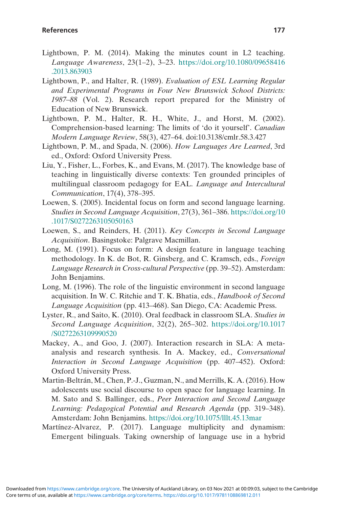- Lightbown, P. M. (2014). Making the minutes count in L2 teaching. Language Awareness, 23(1–2), 3–23. [https://doi.org/10.1080/09658416](https://doi.org/10.1080/09658416.2013.863903) [.2013.863903](https://doi.org/10.1080/09658416.2013.863903)
- Lightbown, P., and Halter, R. (1989). Evaluation of ESL Learning Regular and Experimental Programs in Four New Brunswick School Districts: 1987–88 (Vol. 2). Research report prepared for the Ministry of Education of New Brunswick.
- Lightbown, P. M., Halter, R. H., White, J., and Horst, M. (2002). Comprehension-based learning: The limits of 'do it yourself'. Canadian Modern Language Review, 58(3), 427–64. doi:10.3138/cmlr.58.3.427
- Lightbown, P. M., and Spada, N. (2006). How Languages Are Learned, 3rd ed., Oxford: Oxford University Press.
- Liu, Y., Fisher, L., Forbes, K., and Evans, M. (2017). The knowledge base of teaching in linguistically diverse contexts: Ten grounded principles of multilingual classroom pedagogy for EAL. Language and Intercultural Communication, 17(4), 378–395.
- Loewen, S. (2005). Incidental focus on form and second language learning. Studies in Second Language Acquisition, 27(3), 361–386. [https://doi.org/10](https://doi.org/10.1017/S0272263105050163) [.1017/S0272263105050163](https://doi.org/10.1017/S0272263105050163)
- Loewen, S., and Reinders, H. (2011). Key Concepts in Second Language Acquisition. Basingstoke: Palgrave Macmillan.
- Long, M. (1991). Focus on form: A design feature in language teaching methodology. In K. de Bot, R. Ginsberg, and C. Kramsch, eds., Foreign Language Research in Cross-cultural Perspective (pp. 39–52). Amsterdam: John Benjamins.
- Long, M. (1996). The role of the linguistic environment in second language acquisition. In W. C. Ritchie and T. K. Bhatia, eds., Handbook of Second Language Acquisition (pp. 413–468). San Diego, CA: Academic Press.
- Lyster, R., and Saito, K. (2010). Oral feedback in classroom SLA. Studies in Second Language Acquisition, 32(2), 265–302. [https://doi.org/10.1017](https://doi.org/10.1017/S0272263109990520) [/S0272263109990520](https://doi.org/10.1017/S0272263109990520)
- Mackey, A., and Goo, J. (2007). Interaction research in SLA: A metaanalysis and research synthesis. In A. Mackey, ed., Conversational Interaction in Second Language Acquisition (pp. 407–452). Oxford: Oxford University Press.
- Martin-Beltrán, M., Chen, P.-J., Guzman, N., and Merrills, K. A. (2016). How adolescents use social discourse to open space for language learning. In M. Sato and S. Ballinger, eds., Peer Interaction and Second Language Learning: Pedagogical Potential and Research Agenda (pp. 319–348). Amsterdam: John Benjamins. <https://doi.org/10.1075/lllt.45.13mar>
- Martínez-Alvarez, P. (2017). Language multiplicity and dynamism: Emergent bilinguals. Taking ownership of language use in a hybrid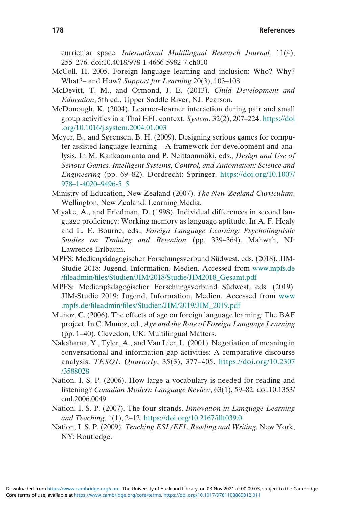curricular space. International Multilingual Research Journal, 11(4), 255–276. doi:10.4018/978-1-4666-5982-7.ch010

- McColl, H. 2005. Foreign language learning and inclusion: Who? Why? What?– and How? Support for Learning 20(3), 103–108.
- McDevitt, T. M., and Ormond, J. E. (2013). Child Development and Education, 5th ed., Upper Saddle River, NJ: Pearson.
- McDonough, K. (2004). Learner–learner interaction during pair and small group activities in a Thai EFL context. System, 32(2), 207–224. [https://doi](https://doi.org/10.1016/j.system.2004.01.003) [.org/10.1016/j.system.2004.01.003](https://doi.org/10.1016/j.system.2004.01.003)
- Meyer, B., and Sørensen, B. H. (2009). Designing serious games for computer assisted language learning – A framework for development and analysis. In M. Kankaanranta and P. Neittaanmäki, eds., Design and Use of Serious Games. Intelligent Systems, Control, and Automation: Science and Engineering (pp. 69–82). Dordrecht: Springer. [https://doi.org/10.1007/](https://doi.org/10.1007/9781-40209496-5%5F5) 978–1-4020–[9496-5\\_5](https://doi.org/10.1007/9781-40209496-5%5F5)
- Ministry of Education, New Zealand (2007). The New Zealand Curriculum. Wellington, New Zealand: Learning Media.
- Miyake, A., and Friedman, D. (1998). Individual differences in second language proficiency: Working memory as language aptitude. In A. F. Healy and L. E. Bourne, eds., Foreign Language Learning: Psycholinguistic Studies on Training and Retention (pp. 339–364). Mahwah, NJ: Lawrence Erlbaum.
- MPFS: Medienpädagogischer Forschungsverbund Südwest, eds. (2018). JIM-Studie 2018: Jugend, Information, Medien. Accessed from [www.mpfs.de](https://www.mpfs.de/fileadmin/files/Studien/JIM/2018/Studie/JIM2018%5FGesamt.pdf) /fileadmin/fi[les/Studien/JIM/2018/Studie/JIM2018\\_Gesamt.pdf](https://www.mpfs.de/fileadmin/files/Studien/JIM/2018/Studie/JIM2018%5FGesamt.pdf)
- MPFS: Medienpädagogischer Forschungsverbund Südwest, eds. (2019). JIM-Studie 2019: Jugend, Information, Medien. Accessed from [www](https://www.mpfs.de/fileadmin/files/Studien/JIM/2019/JIM%5F2019.pdf) .mpfs.de/fileadmin/fi[les/Studien/JIM/2019/JIM\\_2019.pdf](https://www.mpfs.de/fileadmin/files/Studien/JIM/2019/JIM%5F2019.pdf)
- Muñoz, C. (2006). The effects of age on foreign language learning: The BAF project. In C. Muñoz, ed., Age and the Rate of Foreign Language Learning (pp. 1–40). Clevedon, UK: Multilingual Matters.
- Nakahama, Y., Tyler, A., and Van Lier, L. (2001). Negotiation of meaning in conversational and information gap activities: A comparative discourse analysis. TESOL Quarterly, 35(3), 377–405. [https://doi.org/10.2307](https://doi.org/10.2307/3588028) [/3588028](https://doi.org/10.2307/3588028)
- Nation, I. S. P. (2006). How large a vocabulary is needed for reading and listening? Canadian Modern Language Review, 63(1), 59–82. doi:10.1353/ cml.2006.0049
- Nation, I. S. P. (2007). The four strands. Innovation in Language Learning and Teaching, 1(1), 2–12. <https://doi.org/10.2167/illt039.0>
- Nation, I. S. P. (2009). Teaching ESL/EFL Reading and Writing. New York, NY: Routledge.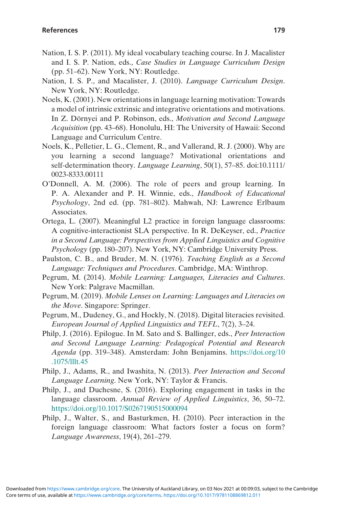- Nation, I. S. P. (2011). My ideal vocabulary teaching course. In J. Macalister and I. S. P. Nation, eds., Case Studies in Language Curriculum Design (pp. 51–62). New York, NY: Routledge.
- Nation, I. S. P., and Macalister, J. (2010). Language Curriculum Design. New York, NY: Routledge.
- Noels, K. (2001). New orientations in language learning motivation: Towards a model of intrinsic extrinsic and integrative orientations and motivations. In Z. Dörnyei and P. Robinson, eds., Motivation and Second Language Acquisition (pp. 43–68). Honolulu, HI: The University of Hawaii: Second Language and Curriculum Centre.
- Noels, K., Pelletier, L. G., Clement, R., and Vallerand, R. J. (2000). Why are you learning a second language? Motivational orientations and self-determination theory. Language Learning, 50(1), 57–85. doi:10.1111/ 0023-8333.00111
- O'Donnell, A. M. (2006). The role of peers and group learning. In P. A. Alexander and P. H. Winnie, eds., Handbook of Educational Psychology, 2nd ed. (pp. 781–802). Mahwah, NJ: Lawrence Erlbaum Associates.
- Ortega, L. (2007). Meaningful L2 practice in foreign language classrooms: A cognitive-interactionist SLA perspective. In R. DeKeyser, ed., Practice in a Second Language: Perspectives from Applied Linguistics and Cognitive Psychology (pp. 180–207). New York, NY: Cambridge University Press.
- Paulston, C. B., and Bruder, M. N. (1976). Teaching English as a Second Language: Techniques and Procedures. Cambridge, MA: Winthrop.
- Pegrum, M. (2014). Mobile Learning: Languages, Literacies and Cultures. New York: Palgrave Macmillan.
- Pegrum, M. (2019). Mobile Lenses on Learning: Languages and Literacies on the Move. Singapore: Springer.
- Pegrum, M., Dudeney, G., and Hockly, N. (2018). Digital literacies revisited. European Journal of Applied Linguistics and TEFL, 7(2), 3–24.
- Philp, J. (2016). Epilogue. In M. Sato and S. Ballinger, eds., Peer Interaction and Second Language Learning: Pedagogical Potential and Research Agenda (pp. 319–348). Amsterdam: John Benjamins. [https://doi.org/10](https://doi.org/10.1075/lllt.45) [.1075/lllt.45](https://doi.org/10.1075/lllt.45)
- Philp, J., Adams, R., and Iwashita, N. (2013). Peer Interaction and Second Language Learning. New York, NY: Taylor & Francis.
- Philp, J., and Duchesne, S. (2016). Exploring engagement in tasks in the language classroom. Annual Review of Applied Linguistics, 36, 50–72. <https://doi.org/10.1017/S0267190515000094>
- Philp, J., Walter, S., and Basturkmen, H. (2010). Peer interaction in the foreign language classroom: What factors foster a focus on form? Language Awareness, 19(4), 261–279.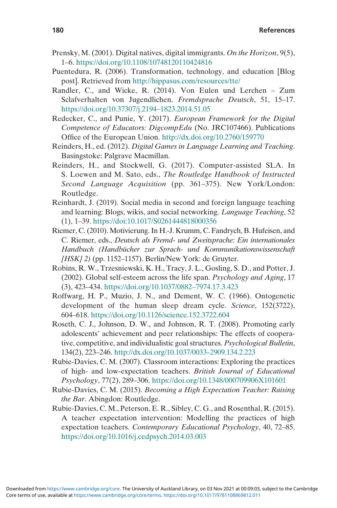- Prensky, M. (2001). Digital natives, digital immigrants. On the Horizon, 9(5), 1–6. <https://doi.org/10.1108/10748120110424816>
- Puentedura, R. (2006). Transformation, technology, and education [Blog post]. Retrieved from <http://hippasus.com/resources/tte/>
- Randler, C., and Wicke, R. (2014). Von Eulen und Lerchen Zum Sclafverhalten von Jugendlichen. Fremdsprache Deutsch, 51, 15–17. [https://doi.org/10.37307/j.2194](https://doi.org/10.37307/j.21941823.2014.51.05)–1823.2014.51.05
- Redecker, C., and Punie, Y. (2017). European Framework for the Digital Competence of Educators: DigcompEdu (No. JRC107466). Publications Office of the European Union. <http://dx.doi.org/10.2760/159770>
- Reinders, H., ed. (2012). Digital Games in Language Learning and Teaching. Basingstoke: Palgrave Macmillan.
- Reinders, H., and Stockwell, G. (2017). Computer-assisted SLA. In S. Loewen and M. Sato, eds., The Routledge Handbook of Instructed Second Language Acquisition (pp. 361–375). New York/London: Routledge.
- Reinhardt, J. (2019). Social media in second and foreign language teaching and learning: Blogs, wikis, and social networking. Language Teaching, 52 (1), 1–39. <https://doi:10.1017/S0261444818000356>
- Riemer, C. (2010). Motivierung. In H.-J. Krumm, C. Fandrych, B. Hufeisen, and C. Riemer, eds., Deutsch als Fremd- und Zweitsprache: Ein internationales Handbuch (Handbücher zur Sprach- und Kommunikationswissenschaft  $[*HSK*]$  2) (pp. 1152–1157). Berlin/New York: de Gruyter.
- Robins, R. W., Trzesniewski, K. H., Tracy, J. L., Gosling, S. D., and Potter, J. (2002). Global self-esteem across the life span. Psychology and Aging, 17 (3), 423–434. [https://doi.org/10.1037/0882](https://doi.org/10.1037/08827974.17.3.423)–7974.17.3.423
- Roffwarg, H. P., Muzio, J. N., and Dement, W. C. (1966). Ontogenetic development of the human sleep dream cycle. Science, 152(3722), 604–618. <https://doi.org/10.1126/science.152.3722.604>
- Roseth, C. J., Johnson, D. W., and Johnson, R. T. (2008). Promoting early adolescents' achievement and peer relationships: The effects of cooperative, competitive, and individualistic goal structures. Psychological Bulletin, 134(2), 223–246. [http://dx.doi.org/10.1037/0033](http://dx.doi.org/10.1037/00332909.134.2.223)–2909.134.2.223
- Rubie-Davies, C. M. (2007). Classroom interactions: Exploring the practices of high- and low-expectation teachers. British Journal of Educational Psychology, 77(2), 289–306. <https://doi.org/10.1348/000709906X101601>
- Rubie-Davies, C. M. (2015). Becoming a High Expectation Teacher: Raising the Bar. Abingdon: Routledge.
- Rubie-Davies, C. M., Peterson, E. R., Sibley, C. G., and Rosenthal, R. (2015). A teacher expectation intervention: Modelling the practices of high expectation teachers. Contemporary Educational Psychology, 40, 72–85. <https://doi.org/10.1016/j.cedpsych.2014.03.003>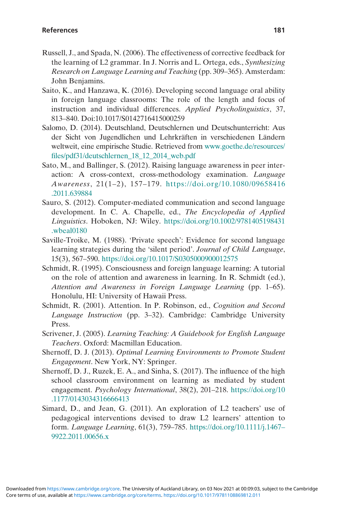- Russell, J., and Spada, N. (2006). The effectiveness of corrective feedback for the learning of L2 grammar. In J. Norris and L. Ortega, eds., Synthesizing Research on Language Learning and Teaching (pp. 309–365). Amsterdam: John Benjamins.
- Saito, K., and Hanzawa, K. (2016). Developing second language oral ability in foreign language classrooms: The role of the length and focus of instruction and individual differences. Applied Psycholinguistics, 37, 813–840. Doi:10.1017/S0142716415000259
- Salomo, D. (2014). Deutschland, Deutschlernen und Deutschunterricht: Aus der Sicht von Jugendlichen und Lehrkräften in verschiedenen Ländern weltweit, eine empirische Studie. Retrieved from [www.goethe.de/resources/](https://www.goethe.de/resources/files/pdf31/deutschlernen%5F18%5F12%5F2014%5Fweb.pdf) fi[les/pdf31/deutschlernen\\_18\\_12\\_2014\\_web.pdf](https://www.goethe.de/resources/files/pdf31/deutschlernen%5F18%5F12%5F2014%5Fweb.pdf)
- Sato, M., and Ballinger, S. (2012). Raising language awareness in peer interaction: A cross-context, cross-methodology examination. Language Awareness, 21(1–2), 157–179. [https://doi.org/10.1080/09658416](https://doi.org/10.1080/09658416.2011.639884) [.2011.639884](https://doi.org/10.1080/09658416.2011.639884)
- Sauro, S. (2012). Computer‐mediated communication and second language development. In C. A. Chapelle, ed., The Encyclopedia of Applied Linguistics. Hoboken, NJ: Wiley. [https://doi.org/10.1002/9781405198431](https://doi.org/10.1002/9781405198431.wbeal0180) [.wbeal0180](https://doi.org/10.1002/9781405198431.wbeal0180)
- Saville-Troike, M. (1988). 'Private speech': Evidence for second language learning strategies during the 'silent period'. Journal of Child Language, 15(3), 567–590. <https://doi.org/10.1017/S0305000900012575>
- Schmidt, R. (1995). Consciousness and foreign language learning: A tutorial on the role of attention and awareness in learning. In R. Schmidt (ed.), Attention and Awareness in Foreign Language Learning (pp. 1–65). Honolulu, HI: University of Hawaii Press.
- Schmidt, R. (2001). Attention. In P. Robinson, ed., Cognition and Second Language Instruction (pp. 3–32). Cambridge: Cambridge University Press.
- Scrivener, J. (2005). Learning Teaching: A Guidebook for English Language Teachers. Oxford: Macmillan Education.
- Shernoff, D. J. (2013). Optimal Learning Environments to Promote Student Engagement. New York, NY: Springer.
- Shernoff, D. J., Ruzek, E. A., and Sinha, S. (2017). The influence of the high school classroom environment on learning as mediated by student engagement. Psychology International, 38(2), 201–218. [https://doi.org/10](https://doi.org/10.1177/0143034316666413) [.1177/0143034316666413](https://doi.org/10.1177/0143034316666413)
- Simard, D., and Jean, G. (2011). An exploration of L2 teachers' use of pedagogical interventions devised to draw L2 learners' attention to form. Language Learning, 61(3), 759–785. [https://doi.org/10.1111/j.1467](https://doi.org/10.1111/j.14679922.2011.00656.x)– [9922.2011.00656.x](https://doi.org/10.1111/j.14679922.2011.00656.x)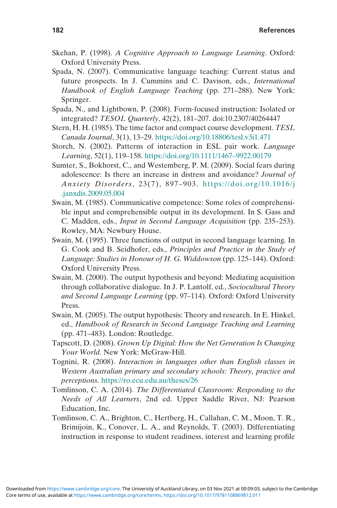- Skehan, P. (1998). A Cognitive Approach to Language Learning. Oxford: Oxford University Press.
- Spada, N. (2007). Communicative language teaching: Current status and future prospects. In J. Cummins and C. Davison, eds., International Handbook of English Language Teaching (pp. 271–288). New York: Springer.
- Spada, N., and Lightbown, P. (2008). Form-focused instruction: Isolated or integrated? TESOL Quarterly, 42(2), 181–207. doi:10.2307/40264447
- Stern, H. H. (1985). The time factor and compact course development. TESL Canada Journal, 3(1), 13–29. <https://doi.org/10.18806/tesl.v3i1.471>
- Storch, N. (2002). Patterns of interaction in ESL pair work. Language Learning, 52(1), 119–158. [https://doi.org/10.1111/1467](https://doi.org/10.1111/14679922.00179)–9922.00179
- Sumter, S., Bokhorst, C., and Westemberg, P. M. (2009). Social fears during adolescence: Is there an increase in distress and avoidance? Journal of Anxiety Disorders, 23(7), 897–903. [https://doi.org/10.1016/j](https://doi.org/10.1016/j.janxdis.2009.05.004) [.janxdis.2009.05.004](https://doi.org/10.1016/j.janxdis.2009.05.004)
- Swain, M. (1985). Communicative competence: Some roles of comprehensible input and comprehensible output in its development. In S. Gass and C. Madden, eds., Input in Second Language Acquisition (pp. 235–253). Rowley, MA: Newbury House.
- Swain, M. (1995). Three functions of output in second language learning. In G. Cook and B. Seidhofer, eds., Principles and Practice in the Study of Language: Studies in Honour of H. G. Widdowson (pp. 125–144). Oxford: Oxford University Press.
- Swain, M. (2000). The output hypothesis and beyond: Mediating acquisition through collaborative dialogue. In J. P. Lantolf, ed., Sociocultural Theory and Second Language Learning (pp. 97–114). Oxford: Oxford University Press.
- Swain, M. (2005). The output hypothesis: Theory and research. In E. Hinkel, ed., Handbook of Research in Second Language Teaching and Learning (pp. 471–483). London: Routledge.
- Tapscott, D. (2008). Grown Up Digital: How the Net Generation Is Changing Your World. New York: McGraw-Hill.
- Tognini, R. (2008). Interaction in languages other than English classes in Western Australian primary and secondary schools: Theory, practice and perceptions. <https://ro.ecu.edu.au/theses/26>
- Tomlinson, C. A. (2014). The Differentiated Classroom: Responding to the Needs of All Learners, 2nd ed. Upper Saddle River, NJ: Pearson Education, Inc.
- Tomlinson, C. A., Brighton, C., Hertberg, H., Callahan, C. M., Moon, T. R., Brimijoin, K., Conover, L. A., and Reynolds, T. (2003). Differentiating instruction in response to student readiness, interest and learning profile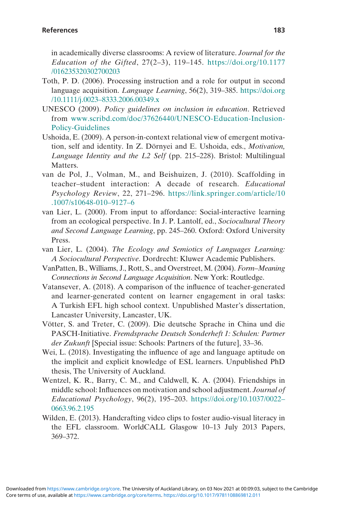in academically diverse classrooms: A review of literature. Journal for the Education of the Gifted,  $27(2-3)$ , 119-145. [https://doi.org/10.1177](https://doi.org/10.1177/016235320302700203) [/016235320302700203](https://doi.org/10.1177/016235320302700203)

- Toth, P. D. (2006). Processing instruction and a role for output in second language acquisition. Language Learning, 56(2), 319–385. [https://doi.org](https://doi.org/10.1111/j.00238333.2006.00349.x) /10.1111/j.0023–[8333.2006.00349.x](https://doi.org/10.1111/j.00238333.2006.00349.x)
- UNESCO (2009). Policy guidelines on inclusion in education. Retrieved from [www.scribd.com/doc/37626440/UNESCO-Education-Inclusion-](http://www.scribd.com/doc/37626440/UNESCO-Education-Inclusion-Policy-Guidelines)[Policy-Guidelines](http://www.scribd.com/doc/37626440/UNESCO-Education-Inclusion-Policy-Guidelines)
- Ushoida, E. (2009). A person-in-context relational view of emergent motivation, self and identity. In Z. Dörnyei and E. Ushoida, eds., Motivation, Language Identity and the L2 Self (pp. 215–228). Bristol: Multilingual Matters.
- van de Pol, J., Volman, M., and Beishuizen, J. (2010). Scaffolding in teacher–student interaction: A decade of research. Educational Psychology Review, 22, 271–296. [https://link.springer.com/article/10](https://link.springer.com/article/10.1007/s10648-01091276) [.1007/s10648-010](https://link.springer.com/article/10.1007/s10648-01091276)–9127–6
- van Lier, L. (2000). From input to affordance: Social-interactive learning from an ecological perspective. In J. P. Lantolf, ed., Sociocultural Theory and Second Language Learning, pp. 245–260. Oxford: Oxford University Press.
- van Lier, L. (2004). The Ecology and Semiotics of Languages Learning: A Sociocultural Perspective. Dordrecht: Kluwer Academic Publishers.
- VanPatten, B., Williams, J., Rott, S., and Overstreet, M. (2004). Form–Meaning Connections in Second Language Acquisition. New York: Routledge.
- Vatansever, A. (2018). A comparison of the influence of teacher-generated and learner-generated content on learner engagement in oral tasks: A Turkish EFL high school context. Unpublished Master's dissertation, Lancaster University, Lancaster, UK.
- Vötter, S. and Treter, C. (2009). Die deutsche Sprache in China und die PASCH-Initiative. Fremdsprache Deutsch Sonderheft 1: Schulen: Partner der Zukunft [Special issue: Schools: Partners of the future], 33–36.
- Wei, L. (2018). Investigating the influence of age and language aptitude on the implicit and explicit knowledge of ESL learners. Unpublished PhD thesis, The University of Auckland.
- Wentzel, K. R., Barry, C. M., and Caldwell, K. A. (2004). Friendships in middle school: Influences on motivation and school adjustment. Journal of Educational Psychology, 96(2), 195–203. [https://doi.org/10.1037/0022](https://doi.org/10.1037/00220663.96.2.195)– [0663.96.2.195](https://doi.org/10.1037/00220663.96.2.195)
- Wilden, E. (2013). Handcrafting video clips to foster audio-visual literacy in the EFL classroom. WorldCALL Glasgow 10–13 July 2013 Papers, 369–372.